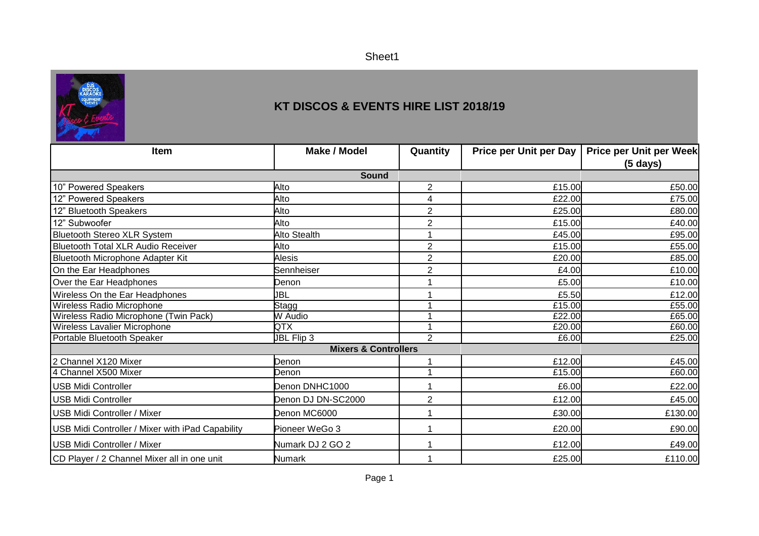Sheet1



## **KT DISCOS & EVENTS HIRE LIST 2018/19**

| Item                                             | <b>Make / Model</b> | Quantity       | <b>Price per Unit per Day</b> | Price per Unit per Week |  |
|--------------------------------------------------|---------------------|----------------|-------------------------------|-------------------------|--|
|                                                  |                     |                |                               | $(5 \text{ days})$      |  |
| <b>Sound</b>                                     |                     |                |                               |                         |  |
| 10" Powered Speakers                             | Alto                | $\mathbf{2}$   | £15.00                        | £50.00                  |  |
| 12" Powered Speakers                             | Alto                | 4              | £22.00                        | £75.00                  |  |
| 12" Bluetooth Speakers                           | Alto                | $\overline{2}$ | £25.00                        | £80.00                  |  |
| 12" Subwoofer                                    | Alto                | $\overline{2}$ | £15.00                        | £40.00                  |  |
| <b>Bluetooth Stereo XLR System</b>               | <b>Alto Stealth</b> |                | £45.00                        | £95.00                  |  |
| <b>Bluetooth Total XLR Audio Receiver</b>        | Alto                | $\overline{2}$ | £15.00                        | £55.00                  |  |
| Bluetooth Microphone Adapter Kit                 | <b>Alesis</b>       | $\overline{2}$ | £20.00                        | £85.00                  |  |
| On the Ear Headphones                            | Sennheiser          | $\overline{2}$ | £4.00                         | £10.00                  |  |
| Over the Ear Headphones                          | Denon               |                | £5.00                         | £10.00                  |  |
| Wireless On the Ear Headphones                   | JBL                 |                | £5.50                         | £12.00                  |  |
| Wireless Radio Microphone                        | Stagg               |                | £15.00                        | £55.00                  |  |
| Wireless Radio Microphone (Twin Pack)            | W Audio             |                | £22.00                        | £65.00                  |  |
| Wireless Lavalier Microphone                     | QTX                 |                | £20.00                        | £60.00                  |  |
| Portable Bluetooth Speaker                       | JBL Flip 3          | 2              | £6.00                         | £25.00                  |  |
| <b>Mixers &amp; Controllers</b>                  |                     |                |                               |                         |  |
| 2 Channel X120 Mixer                             | Denon               |                | £12.00                        | £45.00                  |  |
| 4 Channel X500 Mixer                             | Denon               |                | £15.00                        | £60.00                  |  |
| <b>USB Midi Controller</b>                       | Denon DNHC1000      |                | £6.00                         | £22.00                  |  |
| <b>USB Midi Controller</b>                       | Denon DJ DN-SC2000  | $\overline{2}$ | £12.00                        | £45.00                  |  |
| <b>USB Midi Controller / Mixer</b>               | Denon MC6000        |                | £30.00                        | £130.00                 |  |
| USB Midi Controller / Mixer with iPad Capability | Pioneer WeGo 3      |                | £20.00                        | £90.00                  |  |
| USB Midi Controller / Mixer                      | Numark DJ 2 GO 2    |                | £12.00                        | £49.00                  |  |
| CD Player / 2 Channel Mixer all in one unit      | <b>Numark</b>       | 1              | £25.00                        | £110.00                 |  |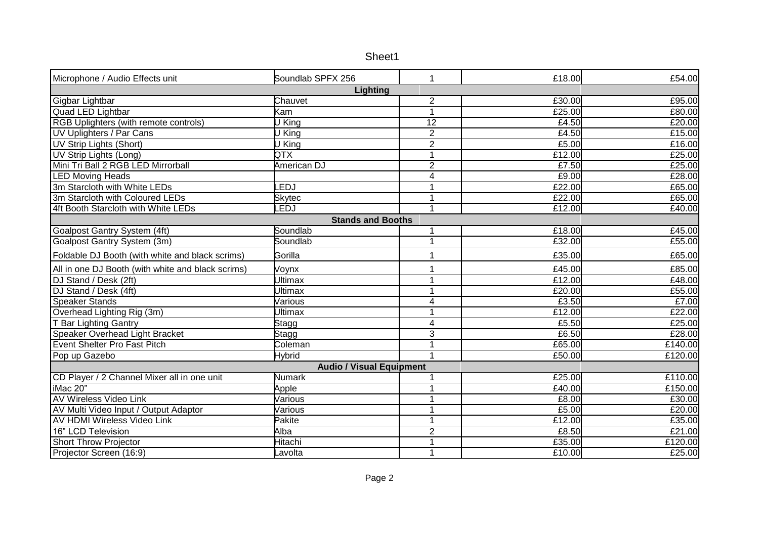| Sheet1 |
|--------|
|--------|

| Microphone / Audio Effects unit                   | Soundlab SPFX 256        | 1               | £18.00 | £54.00  |  |
|---------------------------------------------------|--------------------------|-----------------|--------|---------|--|
| Lighting                                          |                          |                 |        |         |  |
| Gigbar Lightbar                                   | Chauvet                  | $\overline{2}$  | £30.00 | £95.00  |  |
| Quad LED Lightbar                                 | Kam                      | 1               | £25.00 | £80.00  |  |
| RGB Uplighters (with remote controls)             | $\overline{U}$ King      | $\overline{12}$ | £4.50  | £20.00  |  |
| <b>UV Uplighters / Par Cans</b>                   | U King                   | $\overline{2}$  | £4.50  | £15.00  |  |
| <b>UV Strip Lights (Short)</b>                    | U King                   | $\overline{2}$  | £5.00  | £16.00  |  |
| UV Strip Lights (Long)                            | QTX                      | 1               | £12.00 | £25.00  |  |
| Mini Tri Ball 2 RGB LED Mirrorball                | <b>American DJ</b>       | $\overline{2}$  | £7.50  | E25.00  |  |
| <b>LED Moving Heads</b>                           |                          | 4               | £9.00  | £28.00  |  |
| 3m Starcloth with White LEDs                      | <b>EDJ</b>               | $\overline{ }$  | £22.00 | £65.00  |  |
| 3m Starcloth with Coloured LEDs                   | <b>Skytec</b>            | 1               | £22.00 | £65.00  |  |
| 4ft Booth Starcloth with White LEDs               | <b>EDJ</b>               | 1               | £12.00 | £40.00  |  |
|                                                   | <b>Stands and Booths</b> |                 |        |         |  |
| Goalpost Gantry System (4ft)                      | Soundlab                 |                 | £18.00 | £45.00  |  |
| Goalpost Gantry System (3m)                       | Soundlab                 | 1               | £32.00 | £55.00  |  |
| Foldable DJ Booth (with white and black scrims)   | Gorilla                  |                 | £35.00 | £65.00  |  |
| All in one DJ Booth (with white and black scrims) | Voynx                    |                 | £45.00 | £85.00  |  |
| DJ Stand / Desk (2ft)                             | <b>Ultimax</b>           |                 | £12.00 | £48.00  |  |
| DJ Stand / Desk (4ft)                             | <b>Jltimax</b>           | 1               | £20.00 | £55.00  |  |
| <b>Speaker Stands</b>                             | Various                  | 4               | £3.50  | £7.00   |  |
| Overhead Lighting Rig (3m)                        | Ultimax                  | 1               | £12.00 | £22.00  |  |
| T Bar Lighting Gantry                             | Stagg                    | $\overline{4}$  | £5.50  | £25.00  |  |
| Speaker Overhead Light Bracket                    | <b>Stagg</b>             | $\overline{3}$  | £6.50  | £28.00  |  |
| <b>Event Shelter Pro Fast Pitch</b>               | Coleman                  |                 | £65.00 | £140.00 |  |
| Pop up Gazebo                                     | <b>Hybrid</b>            |                 | £50.00 | £120.00 |  |
| <b>Audio / Visual Equipment</b>                   |                          |                 |        |         |  |
| CD Player / 2 Channel Mixer all in one unit       | <b>Numark</b>            |                 | £25.00 | £110.00 |  |
| iMac 20"                                          | Apple                    | 1               | £40.00 | £150.00 |  |
| <b>AV Wireless Video Link</b>                     | Various                  |                 | £8.00  | £30.00  |  |
| AV Multi Video Input / Output Adaptor             | Various                  |                 | £5.00  | £20.00  |  |
| <b>AV HDMI Wireless Video Link</b>                | Pakite                   |                 | £12.00 | £35.00  |  |
| 16" LCD Television                                | Alba                     | $\overline{2}$  | £8.50  | £21.00  |  |
| <b>Short Throw Projector</b>                      | Hitachi                  | 1               | £35.00 | £120.00 |  |
| Projector Screen (16:9)                           | Lavolta                  | 1               | £10.00 | £25.00  |  |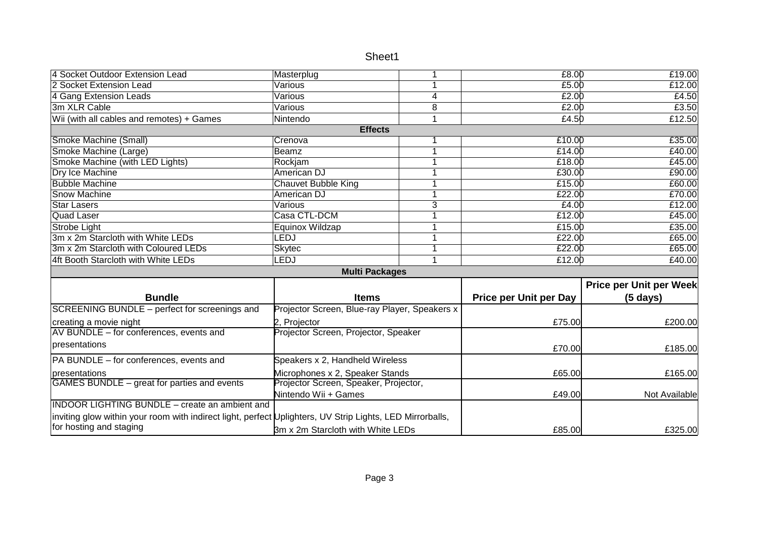| Sheet1 |
|--------|
|--------|

|                                   | 1                                                                                                                                                                                                                                                                  | £8.00                                                                                                                                                                                                                                                                                                                                      | £19.00                                                                                            |
|-----------------------------------|--------------------------------------------------------------------------------------------------------------------------------------------------------------------------------------------------------------------------------------------------------------------|--------------------------------------------------------------------------------------------------------------------------------------------------------------------------------------------------------------------------------------------------------------------------------------------------------------------------------------------|---------------------------------------------------------------------------------------------------|
| Various                           | 1                                                                                                                                                                                                                                                                  | £5.00                                                                                                                                                                                                                                                                                                                                      | £12.00                                                                                            |
| Various                           | 4                                                                                                                                                                                                                                                                  |                                                                                                                                                                                                                                                                                                                                            | £4.50                                                                                             |
|                                   | 8                                                                                                                                                                                                                                                                  | £2.00                                                                                                                                                                                                                                                                                                                                      | £3.50                                                                                             |
|                                   | 1                                                                                                                                                                                                                                                                  | £4.50                                                                                                                                                                                                                                                                                                                                      | £12.50                                                                                            |
| <b>Effects</b>                    |                                                                                                                                                                                                                                                                    |                                                                                                                                                                                                                                                                                                                                            |                                                                                                   |
|                                   | 1                                                                                                                                                                                                                                                                  | £10.00                                                                                                                                                                                                                                                                                                                                     | £35.00                                                                                            |
|                                   | 1                                                                                                                                                                                                                                                                  | £14.00                                                                                                                                                                                                                                                                                                                                     | £40.00                                                                                            |
|                                   | 1                                                                                                                                                                                                                                                                  | £18.00                                                                                                                                                                                                                                                                                                                                     | E45.00                                                                                            |
|                                   | 1                                                                                                                                                                                                                                                                  | £30.00                                                                                                                                                                                                                                                                                                                                     | £90.00                                                                                            |
|                                   | 1                                                                                                                                                                                                                                                                  | £15.00                                                                                                                                                                                                                                                                                                                                     | £60.00                                                                                            |
|                                   | 1                                                                                                                                                                                                                                                                  | £22.00                                                                                                                                                                                                                                                                                                                                     | £70.00                                                                                            |
|                                   | $\overline{3}$                                                                                                                                                                                                                                                     |                                                                                                                                                                                                                                                                                                                                            | £12.00                                                                                            |
|                                   | 1                                                                                                                                                                                                                                                                  |                                                                                                                                                                                                                                                                                                                                            | £45.00                                                                                            |
|                                   | 1                                                                                                                                                                                                                                                                  | £15.00                                                                                                                                                                                                                                                                                                                                     | £35.00                                                                                            |
|                                   | 1                                                                                                                                                                                                                                                                  | £22.00                                                                                                                                                                                                                                                                                                                                     | £65.00                                                                                            |
|                                   | $\mathbf{1}$                                                                                                                                                                                                                                                       | £22.00                                                                                                                                                                                                                                                                                                                                     | £65.00                                                                                            |
| LEDJ                              | 1                                                                                                                                                                                                                                                                  | £12.00                                                                                                                                                                                                                                                                                                                                     | £40.00                                                                                            |
|                                   |                                                                                                                                                                                                                                                                    |                                                                                                                                                                                                                                                                                                                                            |                                                                                                   |
|                                   |                                                                                                                                                                                                                                                                    |                                                                                                                                                                                                                                                                                                                                            | Price per Unit per Week                                                                           |
|                                   |                                                                                                                                                                                                                                                                    |                                                                                                                                                                                                                                                                                                                                            | $(5 \text{ days})$                                                                                |
|                                   |                                                                                                                                                                                                                                                                    |                                                                                                                                                                                                                                                                                                                                            |                                                                                                   |
|                                   |                                                                                                                                                                                                                                                                    |                                                                                                                                                                                                                                                                                                                                            | £200.00                                                                                           |
|                                   |                                                                                                                                                                                                                                                                    |                                                                                                                                                                                                                                                                                                                                            |                                                                                                   |
|                                   |                                                                                                                                                                                                                                                                    |                                                                                                                                                                                                                                                                                                                                            | £185.00                                                                                           |
|                                   |                                                                                                                                                                                                                                                                    |                                                                                                                                                                                                                                                                                                                                            |                                                                                                   |
|                                   |                                                                                                                                                                                                                                                                    |                                                                                                                                                                                                                                                                                                                                            | £165.00                                                                                           |
|                                   |                                                                                                                                                                                                                                                                    |                                                                                                                                                                                                                                                                                                                                            |                                                                                                   |
|                                   |                                                                                                                                                                                                                                                                    |                                                                                                                                                                                                                                                                                                                                            | Not Available                                                                                     |
|                                   |                                                                                                                                                                                                                                                                    |                                                                                                                                                                                                                                                                                                                                            |                                                                                                   |
|                                   |                                                                                                                                                                                                                                                                    |                                                                                                                                                                                                                                                                                                                                            |                                                                                                   |
| 3m x 2m Starcloth with White LEDs |                                                                                                                                                                                                                                                                    | £85.00                                                                                                                                                                                                                                                                                                                                     | £325.00                                                                                           |
|                                   | Masterplug<br>Various<br>Nintendo<br>Crenova<br>Beamz<br>Rockjam<br><b>American DJ</b><br><b>Chauvet Bubble King</b><br>American DJ<br><b>Various</b><br>Casa CTL-DCM<br>Equinox Wildzap<br>LEDJ<br>Skytec<br><b>Items</b><br>2, Projector<br>Nintendo Wii + Games | <b>Multi Packages</b><br>Projector Screen, Blue-ray Player, Speakers x<br>Projector Screen, Projector, Speaker<br>Speakers x 2, Handheld Wireless<br>Microphones x 2, Speaker Stands<br>Projector Screen, Speaker, Projector,<br>inviting glow within your room with indirect light, perfect Uplighters, UV Strip Lights, LED Mirrorballs, | £2.00<br>£4.00<br>£12.00<br><b>Price per Unit per Day</b><br>£75.00<br>£70.00<br>£65.00<br>£49.00 |